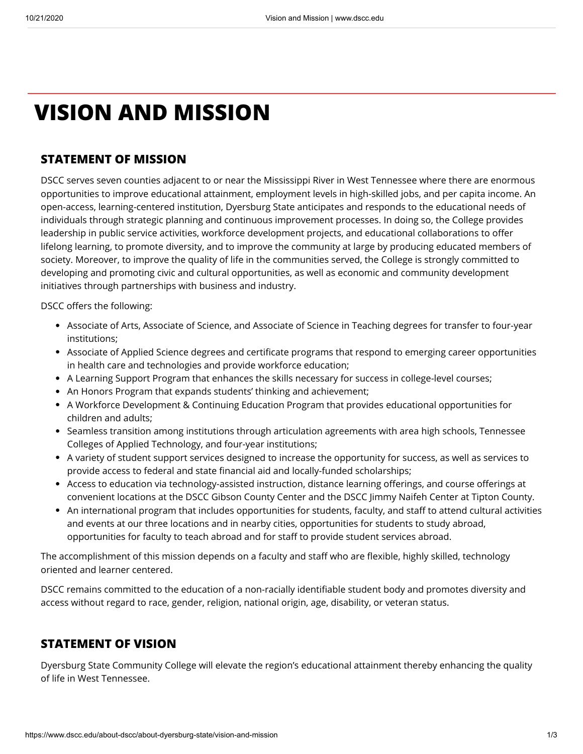# **VISION AND MISSION**

## **STATEMENT OF MISSION**

DSCC serves seven counties adjacent to or near the Mississippi River in West Tennessee where there are enormous opportunities to improve educational attainment, employment levels in high-skilled jobs, and per capita income. An open-access, learning-centered institution, Dyersburg State anticipates and responds to the educational needs of individuals through strategic planning and continuous improvement processes. In doing so, the College provides leadership in public service activities, workforce development projects, and educational collaborations to offer lifelong learning, to promote diversity, and to improve the community at large by producing educated members of society. Moreover, to improve the quality of life in the communities served, the College is strongly committed to developing and promoting civic and cultural opportunities, as well as economic and community development initiatives through partnerships with business and industry.

DSCC offers the following:

- Associate of Arts, Associate of Science, and Associate of Science in Teaching degrees for transfer to four-year institutions;
- Associate of Applied Science degrees and certificate programs that respond to emerging career opportunities in health care and technologies and provide workforce education;
- A Learning Support Program that enhances the skills necessary for success in college-level courses;
- An Honors Program that expands students' thinking and achievement;
- A Workforce Development & Continuing Education Program that provides educational opportunities for children and adults;
- Seamless transition among institutions through articulation agreements with area high schools, Tennessee Colleges of Applied Technology, and four-year institutions;
- A variety of student support services designed to increase the opportunity for success, as well as services to provide access to federal and state financial aid and locally-funded scholarships;
- Access to education via technology-assisted instruction, distance learning offerings, and course offerings at convenient locations at the DSCC Gibson County Center and the DSCC Jimmy Naifeh Center at Tipton County.
- An international program that includes opportunities for students, faculty, and staff to attend cultural activities and events at our three locations and in nearby cities, opportunities for students to study abroad, opportunities for faculty to teach abroad and for staff to provide student services abroad.

The accomplishment of this mission depends on a faculty and staff who are flexible, highly skilled, technology oriented and learner centered.

DSCC remains committed to the education of a non-racially identifiable student body and promotes diversity and access without regard to race, gender, religion, national origin, age, disability, or veteran status.

## **STATEMENT OF VISION**

Dyersburg State Community College will elevate the region's educational attainment thereby enhancing the quality of life in West Tennessee.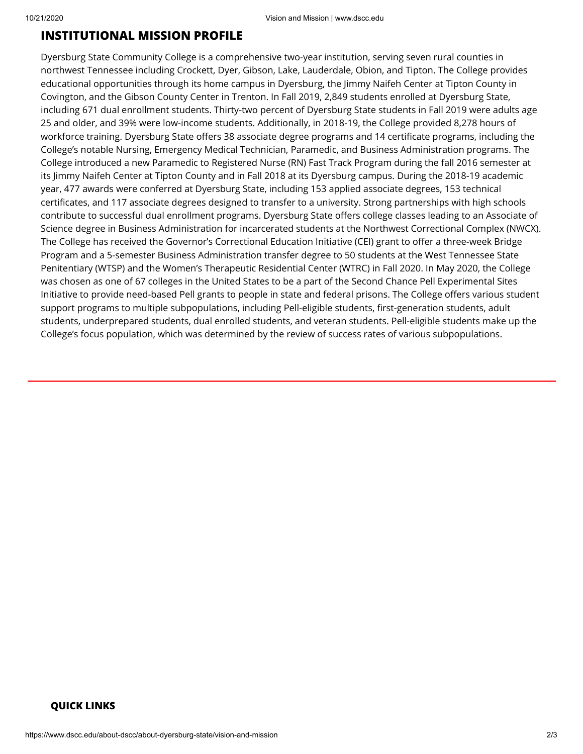## **INSTITUTIONAL MISSION PROFILE**

Dyersburg State Community College is a comprehensive two-year institution, serving seven rural counties in northwest Tennessee including Crockett, Dyer, Gibson, Lake, Lauderdale, Obion, and Tipton. The College provides educational opportunities through its home campus in Dyersburg, the Jimmy Naifeh Center at Tipton County in Covington, and the Gibson County Center in Trenton. In Fall 2019, 2,849 students enrolled at Dyersburg State, including 671 dual enrollment students. Thirty-two percent of Dyersburg State students in Fall 2019 were adults age 25 and older, and 39% were low-income students. Additionally, in 2018-19, the College provided 8,278 hours of workforce training. Dyersburg State offers 38 associate degree programs and 14 certificate programs, including the College's notable Nursing, Emergency Medical Technician, Paramedic, and Business Administration programs. The College introduced a new Paramedic to Registered Nurse (RN) Fast Track Program during the fall 2016 semester at its Jimmy Naifeh Center at Tipton County and in Fall 2018 at its Dyersburg campus. During the 2018-19 academic year, 477 awards were conferred at Dyersburg State, including 153 applied associate degrees, 153 technical certificates, and 117 associate degrees designed to transfer to a university. Strong partnerships with high schools contribute to successful dual enrollment programs. Dyersburg State offers college classes leading to an Associate of Science degree in Business Administration for incarcerated students at the Northwest Correctional Complex (NWCX). The College has received the Governor's Correctional Education Initiative (CEI) grant to offer a three-week Bridge Program and a 5-semester Business Administration transfer degree to 50 students at the West Tennessee State Penitentiary (WTSP) and the Women's Therapeutic Residential Center (WTRC) in Fall 2020. In May 2020, the College was chosen as one of 67 colleges in the United States to be a part of the Second Chance Pell Experimental Sites Initiative to provide need-based Pell grants to people in state and federal prisons. The College offers various student support programs to multiple subpopulations, including Pell-eligible students, first-generation students, adult students, underprepared students, dual enrolled students, and veteran students. Pell-eligible students make up the College's focus population, which was determined by the review of success rates of various subpopulations.

### **QUICK LINKS**